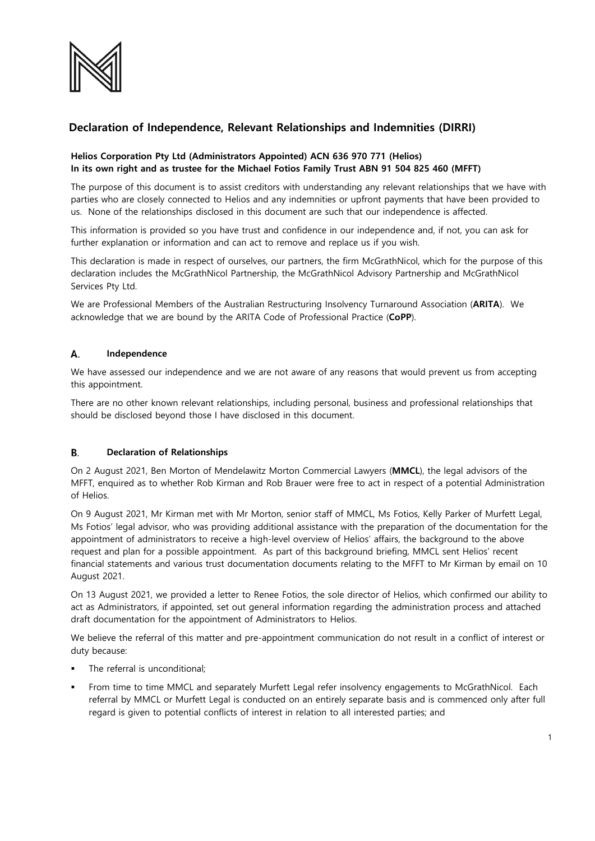

# **Declaration of Independence, Relevant Relationships and Indemnities (DIRRI)**

## **Helios Corporation Pty Ltd (Administrators Appointed) ACN 636 970 771 (Helios) In its own right and as trustee for the Michael Fotios Family Trust ABN 91 504 825 460 (MFFT)**

The purpose of this document is to assist creditors with understanding any relevant relationships that we have with parties who are closely connected to Helios and any indemnities or upfront payments that have been provided to us. None of the relationships disclosed in this document are such that our independence is affected.

This information is provided so you have trust and confidence in our independence and, if not, you can ask for further explanation or information and can act to remove and replace us if you wish.

This declaration is made in respect of ourselves, our partners, the firm McGrathNicol, which for the purpose of this declaration includes the McGrathNicol Partnership, the McGrathNicol Advisory Partnership and McGrathNicol Services Pty Ltd.

We are Professional Members of the Australian Restructuring Insolvency Turnaround Association (**ARITA**). We acknowledge that we are bound by the ARITA Code of Professional Practice (**CoPP**).

#### А. **Independence**

We have assessed our independence and we are not aware of any reasons that would prevent us from accepting this appointment.

There are no other known relevant relationships, including personal, business and professional relationships that should be disclosed beyond those I have disclosed in this document.

#### B. **Declaration of Relationships**

On 2 August 2021, Ben Morton of Mendelawitz Morton Commercial Lawyers (**MMCL**), the legal advisors of the MFFT, enquired as to whether Rob Kirman and Rob Brauer were free to act in respect of a potential Administration of Helios.

On 9 August 2021, Mr Kirman met with Mr Morton, senior staff of MMCL, Ms Fotios, Kelly Parker of Murfett Legal, Ms Fotios' legal advisor, who was providing additional assistance with the preparation of the documentation for the appointment of administrators to receive a high-level overview of Helios' affairs, the background to the above request and plan for a possible appointment. As part of this background briefing, MMCL sent Helios' recent financial statements and various trust documentation documents relating to the MFFT to Mr Kirman by email on 10 August 2021.

On 13 August 2021, we provided a letter to Renee Fotios, the sole director of Helios, which confirmed our ability to act as Administrators, if appointed, set out general information regarding the administration process and attached draft documentation for the appointment of Administrators to Helios.

We believe the referral of this matter and pre-appointment communication do not result in a conflict of interest or duty because:

- The referral is unconditional;
- From time to time MMCL and separately Murfett Legal refer insolvency engagements to McGrathNicol. Each referral by MMCL or Murfett Legal is conducted on an entirely separate basis and is commenced only after full regard is given to potential conflicts of interest in relation to all interested parties; and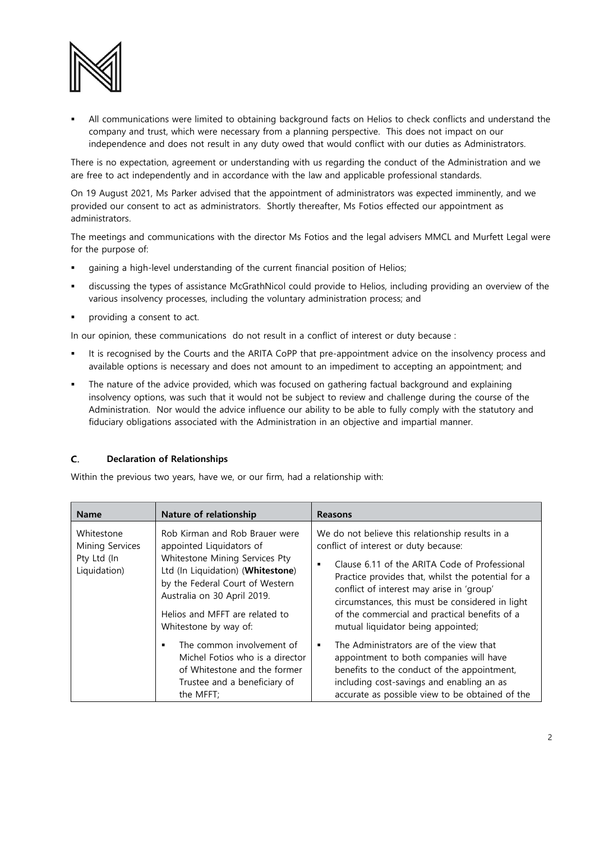

 All communications were limited to obtaining background facts on Helios to check conflicts and understand the company and trust, which were necessary from a planning perspective. This does not impact on our independence and does not result in any duty owed that would conflict with our duties as Administrators.

There is no expectation, agreement or understanding with us regarding the conduct of the Administration and we are free to act independently and in accordance with the law and applicable professional standards.

On 19 August 2021, Ms Parker advised that the appointment of administrators was expected imminently, and we provided our consent to act as administrators. Shortly thereafter, Ms Fotios effected our appointment as administrators.

The meetings and communications with the director Ms Fotios and the legal advisers MMCL and Murfett Legal were for the purpose of:

- gaining a high-level understanding of the current financial position of Helios;
- discussing the types of assistance McGrathNicol could provide to Helios, including providing an overview of the various insolvency processes, including the voluntary administration process; and
- providing a consent to act.

In our opinion, these communications do not result in a conflict of interest or duty because :

- It is recognised by the Courts and the ARITA CoPP that pre-appointment advice on the insolvency process and available options is necessary and does not amount to an impediment to accepting an appointment; and
- The nature of the advice provided, which was focused on gathering factual background and explaining insolvency options, was such that it would not be subject to review and challenge during the course of the Administration. Nor would the advice influence our ability to be able to fully comply with the statutory and fiduciary obligations associated with the Administration in an objective and impartial manner.

### $C_{\cdot}$ **Declaration of Relationships**

Within the previous two years, have we, or our firm, had a relationship with:

| <b>Name</b>                                                  | Nature of relationship                                                                                                                                                                                                                                         | <b>Reasons</b>                                                                                                                                                                                                                                                                                                                                                                                            |
|--------------------------------------------------------------|----------------------------------------------------------------------------------------------------------------------------------------------------------------------------------------------------------------------------------------------------------------|-----------------------------------------------------------------------------------------------------------------------------------------------------------------------------------------------------------------------------------------------------------------------------------------------------------------------------------------------------------------------------------------------------------|
| Whitestone<br>Mining Services<br>Pty Ltd (In<br>Liquidation) | Rob Kirman and Rob Brauer were<br>appointed Liquidators of<br>Whitestone Mining Services Pty<br>Ltd (In Liquidation) (Whitestone)<br>by the Federal Court of Western<br>Australia on 30 April 2019.<br>Helios and MFFT are related to<br>Whitestone by way of: | We do not believe this relationship results in a<br>conflict of interest or duty because:<br>Clause 6.11 of the ARITA Code of Professional<br>$\blacksquare$<br>Practice provides that, whilst the potential for a<br>conflict of interest may arise in 'group'<br>circumstances, this must be considered in light<br>of the commercial and practical benefits of a<br>mutual liquidator being appointed; |
|                                                              | The common involvement of<br>Michel Fotios who is a director<br>of Whitestone and the former<br>Trustee and a beneficiary of<br>the MFFT;                                                                                                                      | The Administrators are of the view that<br>$\blacksquare$<br>appointment to both companies will have<br>benefits to the conduct of the appointment,<br>including cost-savings and enabling an as<br>accurate as possible view to be obtained of the                                                                                                                                                       |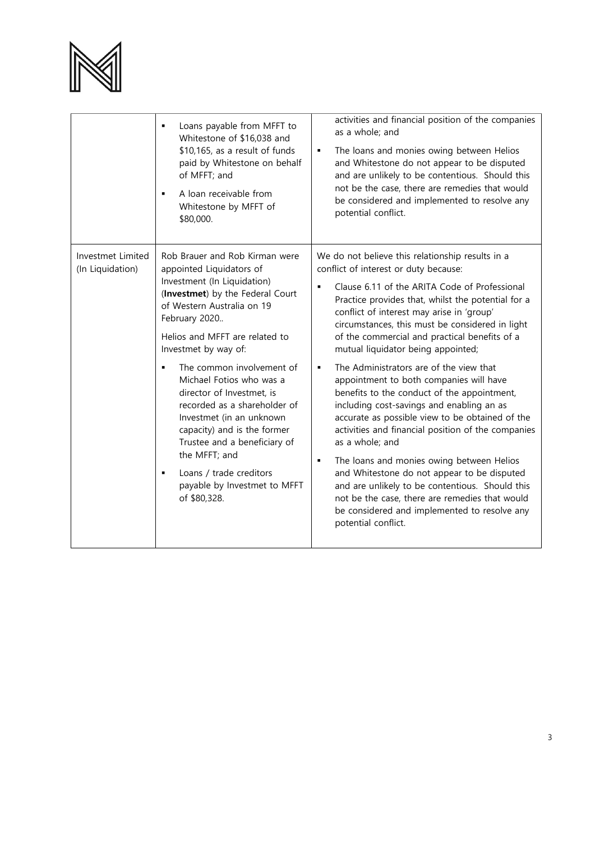

|                                       | Loans payable from MFFT to<br>Whitestone of \$16,038 and<br>\$10,165, as a result of funds<br>paid by Whitestone on behalf<br>of MFFT; and<br>A loan receivable from<br>Whitestone by MFFT of<br>\$80,000.                                                                                                                                                                                                                                                                                                                                          | activities and financial position of the companies<br>as a whole; and<br>The loans and monies owing between Helios<br>$\blacksquare$<br>and Whitestone do not appear to be disputed<br>and are unlikely to be contentious. Should this<br>not be the case, there are remedies that would<br>be considered and implemented to resolve any<br>potential conflict.                                                                                                                                                                                                                                                                                                                                                                                                                                                                                                                                                                                                                                                   |
|---------------------------------------|-----------------------------------------------------------------------------------------------------------------------------------------------------------------------------------------------------------------------------------------------------------------------------------------------------------------------------------------------------------------------------------------------------------------------------------------------------------------------------------------------------------------------------------------------------|-------------------------------------------------------------------------------------------------------------------------------------------------------------------------------------------------------------------------------------------------------------------------------------------------------------------------------------------------------------------------------------------------------------------------------------------------------------------------------------------------------------------------------------------------------------------------------------------------------------------------------------------------------------------------------------------------------------------------------------------------------------------------------------------------------------------------------------------------------------------------------------------------------------------------------------------------------------------------------------------------------------------|
| Investmet Limited<br>(In Liquidation) | Rob Brauer and Rob Kirman were<br>appointed Liquidators of<br>Investment (In Liquidation)<br>(Investmet) by the Federal Court<br>of Western Australia on 19<br>February 2020<br>Helios and MFFT are related to<br>Investmet by way of:<br>The common involvement of<br>Michael Fotios who was a<br>director of Investmet, is<br>recorded as a shareholder of<br>Investmet (in an unknown<br>capacity) and is the former<br>Trustee and a beneficiary of<br>the MFFT; and<br>Loans / trade creditors<br>payable by Investmet to MFFT<br>of \$80,328. | We do not believe this relationship results in a<br>conflict of interest or duty because:<br>Clause 6.11 of the ARITA Code of Professional<br>Practice provides that, whilst the potential for a<br>conflict of interest may arise in 'group'<br>circumstances, this must be considered in light<br>of the commercial and practical benefits of a<br>mutual liquidator being appointed;<br>The Administrators are of the view that<br>$\blacksquare$<br>appointment to both companies will have<br>benefits to the conduct of the appointment,<br>including cost-savings and enabling an as<br>accurate as possible view to be obtained of the<br>activities and financial position of the companies<br>as a whole; and<br>The loans and monies owing between Helios<br>$\blacksquare$<br>and Whitestone do not appear to be disputed<br>and are unlikely to be contentious. Should this<br>not be the case, there are remedies that would<br>be considered and implemented to resolve any<br>potential conflict. |